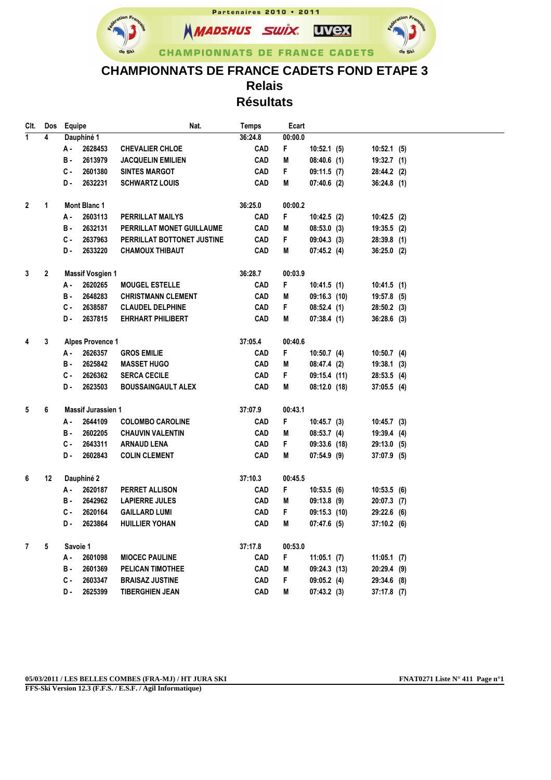

## **CHAMPIONNATS DE FRANCE CADETS FOND ETAPE 3 Relais Résultats**

| CIt.           | Dos          | Equipe                                    |                         | Nat.                       | <b>Temps</b> | Ecart      |                |               |  |
|----------------|--------------|-------------------------------------------|-------------------------|----------------------------|--------------|------------|----------------|---------------|--|
| $\overline{1}$ | 4            | Dauphiné 1                                |                         |                            | 36:24.8      | 00:00.0    |                |               |  |
|                |              | А -                                       | 2628453                 | <b>CHEVALIER CHLOE</b>     | <b>CAD</b>   | F          | 10:52.1(5)     | $10:52.1$ (5) |  |
|                |              | в.                                        | 2613979                 | <b>JACQUELIN EMILIEN</b>   | <b>CAD</b>   | Μ          | 08:40.6(1)     | $19:32.7$ (1) |  |
|                |              | C -                                       | 2601380                 | <b>SINTES MARGOT</b>       | <b>CAD</b>   | F.         | 09:11.5(7)     | 28:44.2 (2)   |  |
|                |              | D.                                        | 2632231                 | <b>SCHWARTZ LOUIS</b>      | <b>CAD</b>   | M          | 07:40.6(2)     | 36:24.8(1)    |  |
|                |              |                                           |                         |                            |              |            |                |               |  |
| $\mathbf 2$    | $\mathbf 1$  |                                           | Mont Blanc 1            |                            | 36:25.0      | 00:00.2    |                |               |  |
|                |              | А -                                       | 2603113                 | PERRILLAT MAILYS           | CAD          | F.         | 10:42.5(2)     | $10:42.5$ (2) |  |
|                |              | в.                                        | 2632131                 | PERRILLAT MONET GUILLAUME  | <b>CAD</b>   | Μ          | 08:53.0(3)     | 19:35.5 (2)   |  |
|                |              | c.                                        | 2637963                 | PERRILLAT BOTTONET JUSTINE | <b>CAD</b>   | F.         | 09:04.3(3)     | 28:39.8 (1)   |  |
|                |              | D.                                        | 2633220                 | <b>CHAMOUX THIBAUT</b>     | <b>CAD</b>   | Μ          | 07:45.2(4)     | 36:25.0 (2)   |  |
|                |              |                                           |                         |                            |              |            |                |               |  |
| 3              | $\mathbf{2}$ |                                           | <b>Massif Vosgien 1</b> |                            | 36:28.7      | 00:03.9    |                |               |  |
|                |              | А.                                        | 2620265                 | <b>MOUGEL ESTELLE</b>      | <b>CAD</b>   | F          | 10:41.5(1)     | 10:41.5(1)    |  |
|                |              | в.                                        | 2648283                 | <b>CHRISTMANN CLEMENT</b>  | <b>CAD</b>   | Μ          | 09:16.3(10)    | $19:57.8$ (5) |  |
|                |              | C -                                       | 2638587                 | <b>CLAUDEL DELPHINE</b>    | CAD          | F.         | 08:52.4(1)     | $28:50.2$ (3) |  |
|                |              | D.                                        | 2637815                 | <b>EHRHART PHILIBERT</b>   | <b>CAD</b>   | M          | 07:38.4(1)     | $36:28.6$ (3) |  |
|                |              |                                           |                         |                            |              |            |                |               |  |
| 4              | 3            | <b>Alpes Provence 1</b>                   |                         | 37:05.4                    | 00:40.6      |            |                |               |  |
|                |              | А.                                        | 2626357                 | <b>GROS EMILIE</b>         | <b>CAD</b>   | F.         | 10:50.7(4)     | $10:50.7$ (4) |  |
|                |              | в.                                        | 2625842                 | <b>MASSET HUGO</b>         | <b>CAD</b>   | Μ          | 08:47.4(2)     | $19:38.1$ (3) |  |
|                |              | с.                                        | 2626362                 | <b>SERCA CECILE</b>        | <b>CAD</b>   | F.         | 09:15.4(11)    | 28:53.5 (4)   |  |
|                |              | D-                                        | 2623503                 | <b>BOUSSAINGAULT ALEX</b>  | <b>CAD</b>   | M          | 08:12.0(18)    | 37:05.5 (4)   |  |
| 5              | 6            | <b>Massif Jurassien 1</b>                 |                         | 37:07.9                    | 00:43.1      |            |                |               |  |
|                |              | 2644109<br>А -<br><b>COLOMBO CAROLINE</b> |                         | <b>CAD</b>                 | F.           | 10:45.7(3) | $10:45.7$ (3)  |               |  |
|                |              | в.                                        | 2602205                 | <b>CHAUVIN VALENTIN</b>    | <b>CAD</b>   | M          | 08:53.7(4)     | 19:39.4 (4)   |  |
|                |              | c.                                        | 2643311                 | <b>ARNAUD LENA</b>         | CAD          | F.         | $09:33.6$ (18) | 29:13.0 (5)   |  |
|                |              | D.                                        | 2602843                 | <b>COLIN CLEMENT</b>       | <b>CAD</b>   | Μ          | 07:54.9 (9)    | $37:07.9$ (5) |  |
|                |              |                                           |                         |                            |              |            |                |               |  |
| 6              | 12           | Dauphiné 2                                |                         | 37:10.3                    | 00:45.5      |            |                |               |  |
|                |              | А.                                        | 2620187                 | PERRET ALLISON             | <b>CAD</b>   | F.         | 10:53.5(6)     | 10:53.5(6)    |  |
|                |              | в.                                        | 2642962                 | <b>LAPIERRE JULES</b>      | <b>CAD</b>   | M          | 09:13.8 (9)    | $20:07.3$ (7) |  |
|                |              | c.                                        | 2620164                 | <b>GAILLARD LUMI</b>       | <b>CAD</b>   | F.         | $09:15.3$ (10) | 29:22.6 (6)   |  |
|                |              | D.                                        | 2623864                 | <b>HUILLIER YOHAN</b>      | <b>CAD</b>   | M          | 07:47.6(5)     | $37:10.2$ (6) |  |
|                |              |                                           |                         |                            |              |            |                |               |  |
| $\overline{7}$ | 5            | Savoie 1                                  |                         |                            | 37:17.8      | 00:53.0    |                |               |  |
|                |              | А -                                       | 2601098                 | <b>MIOCEC PAULINE</b>      | <b>CAD</b>   | F.         | 11:05.1(7)     | 11:05.1(7)    |  |
|                |              | в.                                        | 2601369                 | PELICAN TIMOTHEE           | <b>CAD</b>   | Μ          | 09:24.3(13)    | $20:29.4$ (9) |  |
|                |              | c.                                        | 2603347                 | <b>BRAISAZ JUSTINE</b>     | <b>CAD</b>   | F.         | 09:05.2(4)     | 29:34.6 (8)   |  |
|                |              | D.                                        | 2625399                 | <b>TIBERGHIEN JEAN</b>     | <b>CAD</b>   | М          | 07:43.2(3)     | $37:17.8$ (7) |  |

**FFS-Ski Version 12.3 (F.F.S. / E.S.F. / Agil Informatique)**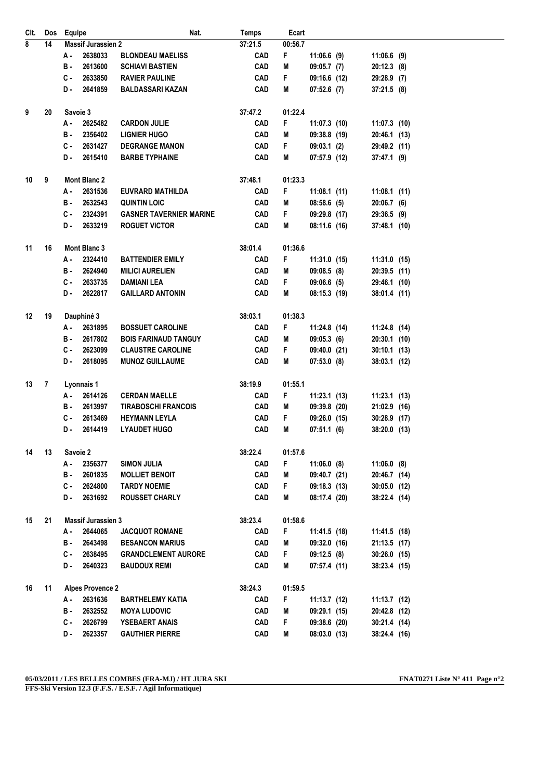| CIt. | Dos | Equipe                    | Nat.                           | <b>Temps</b> | Ecart   |                |                |  |
|------|-----|---------------------------|--------------------------------|--------------|---------|----------------|----------------|--|
| 8    | 14  | <b>Massif Jurassien 2</b> |                                | 37:21.5      | 00:56.7 |                |                |  |
|      |     | 2638033<br>А -            | <b>BLONDEAU MAELISS</b>        | <b>CAD</b>   | F       | $11:06.6$ (9)  | $11:06.6$ (9)  |  |
|      |     | 2613600<br>в.             | <b>SCHIAVI BASTIEN</b>         | <b>CAD</b>   | M       | $09:05.7$ (7)  | $20:12.3$ (8)  |  |
|      |     | 2633850<br>С.             | <b>RAVIER PAULINE</b>          | <b>CAD</b>   | F.      | 09:16.6 (12)   | 29:28.9 (7)    |  |
|      |     | 2641859<br>D.             | <b>BALDASSARI KAZAN</b>        | <b>CAD</b>   | M       | $07:52.6$ (7)  | $37:21.5$ (8)  |  |
| 9    | 20  | Savoie 3                  | 37:47.2                        | 01:22.4      |         |                |                |  |
|      |     | 2625482<br>А -            | <b>CARDON JULIE</b>            | <b>CAD</b>   | F       | $11:07.3$ (10) | $11:07.3$ (10) |  |
|      |     | в.<br>2356402             | <b>LIGNIER HUGO</b>            | <b>CAD</b>   | Μ       | 09:38.8 (19)   | 20:46.1 (13)   |  |
|      |     | 2631427<br>С.             | <b>DEGRANGE MANON</b>          | <b>CAD</b>   | F.      | 09:03.1(2)     | 29:49.2 (11)   |  |
|      |     | 2615410<br>D.             | <b>BARBE TYPHAINE</b>          | <b>CAD</b>   | Μ       | 07:57.9 (12)   | 37:47.1 (9)    |  |
| 10   | 9   | <b>Mont Blanc 2</b>       |                                | 37:48.1      | 01:23.3 |                |                |  |
|      |     | 2631536<br>А.             | <b>EUVRARD MATHILDA</b>        | <b>CAD</b>   | F       | $11:08.1$ (11) | $11:08.1$ (11) |  |
|      |     | 2632543<br>в.             | <b>QUINTIN LOIC</b>            | <b>CAD</b>   | M       | 08:58.6(5)     | 20:06.7(6)     |  |
|      |     | C -<br>2324391            | <b>GASNER TAVERNIER MARINE</b> | <b>CAD</b>   | F.      | 09:29.8 (17)   | 29:36.5 (9)    |  |
|      |     | 2633219<br>D-             | <b>ROGUET VICTOR</b>           | <b>CAD</b>   | Μ       | 08:11.6 (16)   | 37:48.1 (10)   |  |
| 11   | 16  | Mont Blanc 3              |                                | 38:01.4      | 01:36.6 |                |                |  |
|      |     | 2324410<br>А.             | <b>BATTENDIER EMILY</b>        | <b>CAD</b>   | F       | $11:31.0$ (15) | 11:31.0 (15)   |  |
|      |     | в.<br>2624940             | <b>MILICI AURELIEN</b>         | <b>CAD</b>   | Μ       | 09:08.5(8)     | 20:39.5 (11)   |  |
|      |     | C -<br>2633735            | <b>DAMIANI LEA</b>             | <b>CAD</b>   | F.      | 09:06.6(5)     | 29:46.1 (10)   |  |
|      |     | D.<br>2622817             | <b>GAILLARD ANTONIN</b>        | <b>CAD</b>   | Μ       | 08:15.3 (19)   | $38:01.4$ (11) |  |
| 12   | 19  | Dauphiné 3                |                                | 38:03.1      | 01:38.3 |                |                |  |
|      |     | 2631895<br>А -            | <b>BOSSUET CAROLINE</b>        | <b>CAD</b>   | F       | 11:24.8 (14)   | 11:24.8 (14)   |  |
|      |     | 2617802<br>в.             | <b>BOIS FARINAUD TANGUY</b>    | <b>CAD</b>   | Μ       | 09:05.3(6)     | $20:30.1$ (10) |  |
|      |     | 2623099<br>С.             | <b>CLAUSTRE CAROLINE</b>       | <b>CAD</b>   | F       | 09:40.0 (21)   | $30:10.1$ (13) |  |
|      |     | D.<br>2618095             | <b>MUNOZ GUILLAUME</b>         | <b>CAD</b>   | M       | 07:53.0(8)     | 38:03.1 (12)   |  |
| 13   | 7   | Lyonnais 1                |                                | 38:19.9      | 01:55.1 |                |                |  |
|      |     | 2614126<br>А.             | <b>CERDAN MAELLE</b>           | <b>CAD</b>   | F       | 11:23.1(13)    | $11:23.1$ (13) |  |
|      |     | 2613997<br>в.             | <b>TIRABOSCHI FRANCOIS</b>     | <b>CAD</b>   | M       | 09:39.8(20)    | 21:02.9 (16)   |  |
|      |     | 2613469<br>C-             | <b>HEYMANN LEYLA</b>           | <b>CAD</b>   | F       | 09:26.0 (15)   | 30:28.9 (17)   |  |
|      |     | 2614419<br>D-             | <b>LYAUDET HUGO</b>            | <b>CAD</b>   | M       | 07:51.1(6)     | 38:20.0 (13)   |  |
| 14   | 13  | Savoie 2                  |                                | 38:22.4      | 01:57.6 |                |                |  |
|      |     | 2356377<br>А.             | <b>SIMON JULIA</b>             | <b>CAD</b>   | F.      | $11:06.0$ (8)  | $11:06.0$ (8)  |  |
|      |     | 2601835<br>в.             | <b>MOLLIET BENOIT</b>          | <b>CAD</b>   | M       | 09:40.7 (21)   | 20:46.7 (14)   |  |
|      |     | C -<br>2624800            | <b>TARDY NOEMIE</b>            | <b>CAD</b>   | F.      | 09:18.3(13)    | $30:05.0$ (12) |  |
|      |     | 2631692<br>D.             | <b>ROUSSET CHARLY</b>          | <b>CAD</b>   | Μ       | 08:17.4 (20)   | 38:22.4 (14)   |  |
| 15   | 21  | <b>Massif Jurassien 3</b> |                                | 38:23.4      | 01:58.6 |                |                |  |
|      |     | 2644065<br>А.             | <b>JACQUOT ROMANE</b>          | <b>CAD</b>   | F.      | 11:41.5 (18)   | 11:41.5 (18)   |  |
|      |     | 2643498<br>B -            | <b>BESANCON MARIUS</b>         | CAD          | M       | 09:32.0 (16)   | 21:13.5 (17)   |  |
|      |     | <b>C</b> -<br>2638495     | <b>GRANDCLEMENT AURORE</b>     | CAD          | F.      | 09:12.5(8)     | $30:26.0$ (15) |  |
|      |     | 2640323<br>D.             | <b>BAUDOUX REMI</b>            | <b>CAD</b>   | M       | 07:57.4(11)    | 38:23.4 (15)   |  |
| 16   | 11  | <b>Alpes Provence 2</b>   |                                | 38:24.3      | 01:59.5 |                |                |  |
|      |     | 2631636<br>А.             | <b>BARTHELEMY KATIA</b>        | <b>CAD</b>   | F.      | 11:13.7 (12)   | $11:13.7$ (12) |  |
|      |     | 2632552<br>B -            | <b>MOYA LUDOVIC</b>            | CAD          | M       | 09:29.1 (15)   | 20:42.8 (12)   |  |
|      |     | C -<br>2626799            | <b>YSEBAERT ANAIS</b>          | CAD          | F       | 09:38.6 (20)   | 30:21.4 (14)   |  |
|      |     | 2623357<br>D-             | <b>GAUTHIER PIERRE</b>         | <b>CAD</b>   | M       | $08:03.0$ (13) | 38:24.4 (16)   |  |

**FFS-Ski Version 12.3 (F.F.S. / E.S.F. / Agil Informatique)**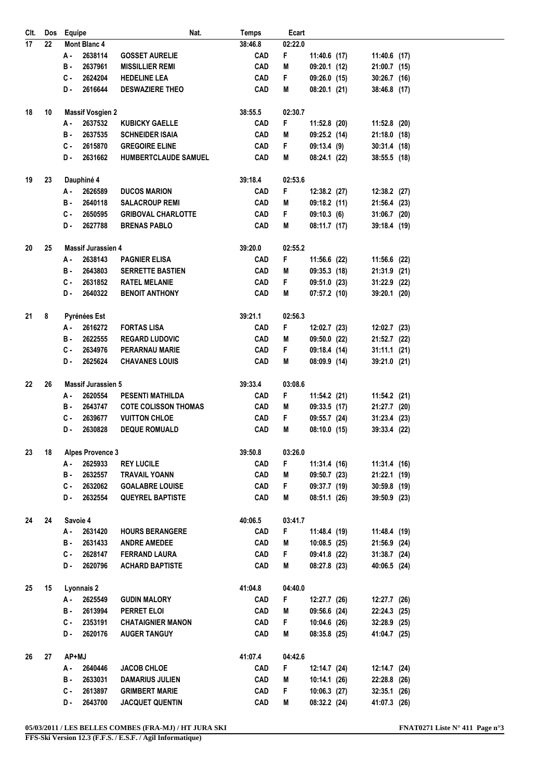| CIt. |    | Dos Equipe                | Nat.                        | <b>Temps</b> | Ecart   |                |  |                |  |
|------|----|---------------------------|-----------------------------|--------------|---------|----------------|--|----------------|--|
| 17   | 22 | Mont Blanc 4              |                             | 38:46.8      | 02:22.0 |                |  |                |  |
|      |    | 2638114<br>А.             | <b>GOSSET AURELIE</b>       | <b>CAD</b>   | F       | $11:40.6$ (17) |  | 11:40.6 (17)   |  |
|      |    | 2637961<br>в.             | <b>MISSILLIER REMI</b>      | <b>CAD</b>   | M       | 09:20.1 (12)   |  | 21:00.7 (15)   |  |
|      |    | 2624204<br>с.             | <b>HEDELINE LEA</b>         | <b>CAD</b>   | F       | 09:26.0(15)    |  | $30:26.7$ (16) |  |
|      |    | 2616644<br>D-             | <b>DESWAZIERE THEO</b>      | <b>CAD</b>   | M       | 08:20.1(21)    |  | 38:46.8 (17)   |  |
| 18   | 10 | <b>Massif Vosgien 2</b>   |                             | 38:55.5      | 02:30.7 |                |  |                |  |
|      |    | 2637532<br>А.             | <b>KUBICKY GAELLE</b>       | <b>CAD</b>   | F       | $11:52.8$ (20) |  | $11:52.8$ (20) |  |
|      |    | 2637535<br>в.             | <b>SCHNEIDER ISAIA</b>      | <b>CAD</b>   | M       | 09:25.2(14)    |  | $21:18.0$ (18) |  |
|      |    | с.<br>2615870             | <b>GREGOIRE ELINE</b>       | <b>CAD</b>   | F.      | 09:13.4(9)     |  | 30:31.4 (18)   |  |
|      |    | 2631662<br>D-             | <b>HUMBERTCLAUDE SAMUEL</b> | <b>CAD</b>   | М       | 08:24.1(22)    |  | 38:55.5 (18)   |  |
|      |    |                           |                             |              |         |                |  |                |  |
| 19   | 23 | Dauphiné 4                |                             | 39:18.4      | 02:53.6 |                |  |                |  |
|      |    | 2626589<br>А.             | <b>DUCOS MARION</b>         | CAD          | F.      | 12:38.2 (27)   |  | 12:38.2 (27)   |  |
|      |    | 2640118<br>в.             | <b>SALACROUP REMI</b>       | <b>CAD</b>   | M       | 09:18.2(11)    |  | 21:56.4 (23)   |  |
|      |    | С.<br>2650595             | <b>GRIBOVAL CHARLOTTE</b>   | <b>CAD</b>   | F.      | 09:10.3(6)     |  | 31:06.7 (20)   |  |
|      |    | 2627788<br>D-             | <b>BRENAS PABLO</b>         | <b>CAD</b>   | M       | 08:11.7(17)    |  | 39:18.4 (19)   |  |
| 20   | 25 | <b>Massif Jurassien 4</b> |                             | 39:20.0      | 02:55.2 |                |  |                |  |
|      |    | 2638143<br>А -            | <b>PAGNIER ELISA</b>        | <b>CAD</b>   | F.      | 11:56.6 (22)   |  | 11:56.6 (22)   |  |
|      |    | 2643803<br>в.             | <b>SERRETTE BASTIEN</b>     | <b>CAD</b>   | M       | $09:35.3$ (18) |  | 21:31.9 (21)   |  |
|      |    | 2631852<br>С.             | <b>RATEL MELANIE</b>        | <b>CAD</b>   | F.      | 09:51.0 (23)   |  | 31:22.9 (22)   |  |
|      |    | D.<br>2640322             | <b>BENOIT ANTHONY</b>       | <b>CAD</b>   | M       | 07:57.2(10)    |  | 39:20.1 (20)   |  |
|      |    |                           |                             |              |         |                |  |                |  |
| 21   | 8  | Pyrénées Est              |                             | 39:21.1      | 02:56.3 |                |  |                |  |
|      |    | 2616272<br>А.             | <b>FORTAS LISA</b>          | CAD          | F       | 12:02.7(23)    |  | 12:02.7 (23)   |  |
|      |    | 2622555<br>в.             | <b>REGARD LUDOVIC</b>       | <b>CAD</b>   | M       | 09:50.0 (22)   |  | 21:52.7 (22)   |  |
|      |    | C.<br>2634976             | <b>PERARNAU MARIE</b>       | <b>CAD</b>   | F.      | 09:18.4 (14)   |  | $31:11.1$ (21) |  |
|      |    | 2625624<br>D.             | <b>CHAVANES LOUIS</b>       | <b>CAD</b>   | M       | 08:09.9(14)    |  | 39:21.0 (21)   |  |
| 22   | 26 | <b>Massif Jurassien 5</b> |                             | 39:33.4      | 03:08.6 |                |  |                |  |
|      |    | 2620554<br>А.             | <b>PESENTI MATHILDA</b>     | <b>CAD</b>   | F.      | 11:54.2 (21)   |  | $11:54.2$ (21) |  |
|      |    | 2643747<br>в.             | <b>COTE COLISSON THOMAS</b> | <b>CAD</b>   | M       | $09:33.5$ (17) |  | 21:27.7 (20)   |  |
|      |    | 2639677<br>c.             | <b>VUITTON CHLOE</b>        | <b>CAD</b>   | F.      | 09:55.7 (24)   |  | 31:23.4 (23)   |  |
|      |    | 2630828<br>D.             | <b>DEQUE ROMUALD</b>        | <b>CAD</b>   | Μ       | 08:10.0(15)    |  | 39:33.4 (22)   |  |
|      |    |                           |                             |              |         |                |  |                |  |
| 23   | 18 | <b>Alpes Provence 3</b>   |                             | 39:50.8      | 03:26.0 |                |  |                |  |
|      |    | А.<br>2625933             | <b>REY LUCILE</b>           | <b>CAD</b>   | F.      | 11:31.4 (16)   |  | 11:31.4 (16)   |  |
|      |    | 2632557<br>в.             | <b>TRAVAIL YOANN</b>        | <b>CAD</b>   | Μ       | 09:50.7 (23)   |  | 21:22.1 (19)   |  |
|      |    | 2632062<br>C-             | <b>GOALABRE LOUISE</b>      | CAD          | F.      | 09:37.7 (19)   |  | 30:59.8 (19)   |  |
|      |    | 2632554<br>D-             | <b>QUEYREL BAPTISTE</b>     | <b>CAD</b>   | М       | 08:51.1 (26)   |  | 39:50.9 (23)   |  |
| 24   | 24 | Savoie 4                  |                             | 40:06.5      | 03:41.7 |                |  |                |  |
|      |    | А.<br>2631420             | <b>HOURS BERANGERE</b>      | <b>CAD</b>   | F.      | 11:48.4 (19)   |  | 11:48.4 (19)   |  |
|      |    | в.<br>2631433             | <b>ANDRE AMEDEE</b>         | CAD          | Μ       | 10:08.5(25)    |  | 21:56.9 (24)   |  |
|      |    | C.<br>2628147             | <b>FERRAND LAURA</b>        | CAD          | F.      | 09:41.8 (22)   |  | $31:38.7$ (24) |  |
|      |    | 2620796<br>D-             | <b>ACHARD BAPTISTE</b>      | <b>CAD</b>   | M       | 08:27.8 (23)   |  | 40:06.5 (24)   |  |
| 25   | 15 | Lyonnais 2                |                             | 41:04.8      | 04:40.0 |                |  |                |  |
|      |    | 2625549<br>А -            | <b>GUDIN MALORY</b>         | <b>CAD</b>   | F.      | 12:27.7 (26)   |  | 12:27.7 (26)   |  |
|      |    | 2613994<br>в.             | PERRET ELOI                 | <b>CAD</b>   | M       | 09:56.6 (24)   |  | 22:24.3 (25)   |  |
|      |    | с.<br>2353191             | <b>CHATAIGNIER MANON</b>    | CAD          | F.      | 10:04.6 (26)   |  | 32:28.9 (25)   |  |
|      |    | 2620176<br>D-             | <b>AUGER TANGUY</b>         | <b>CAD</b>   | M       | 08:35.8(25)    |  | 41:04.7 (25)   |  |
|      |    |                           |                             |              |         |                |  |                |  |
| 26   | 27 | AP+MJ                     |                             | 41:07.4      | 04:42.6 |                |  |                |  |
|      |    | 2640446<br>А -            | <b>JACOB CHLOE</b>          | <b>CAD</b>   | F.      | 12:14.7 (24)   |  | 12:14.7 (24)   |  |
|      |    | 2633031<br>в.             | <b>DAMARIUS JULIEN</b>      | <b>CAD</b>   | Μ       | 10:14.1 (26)   |  | 22:28.8 (26)   |  |
|      |    | c.<br>2613897             | <b>GRIMBERT MARIE</b>       | <b>CAD</b>   | F.      | 10:06.3(27)    |  | 32:35.1 (26)   |  |
|      |    | D-<br>2643700             | <b>JACQUET QUENTIN</b>      | <b>CAD</b>   | M       | 08:32.2 (24)   |  | 41:07.3 (26)   |  |

**05/03/2011 / LES BELLES COMBES (FRA-MJ) / HT JURA SKI FNAT0271 Liste N° 411 Page n°3**